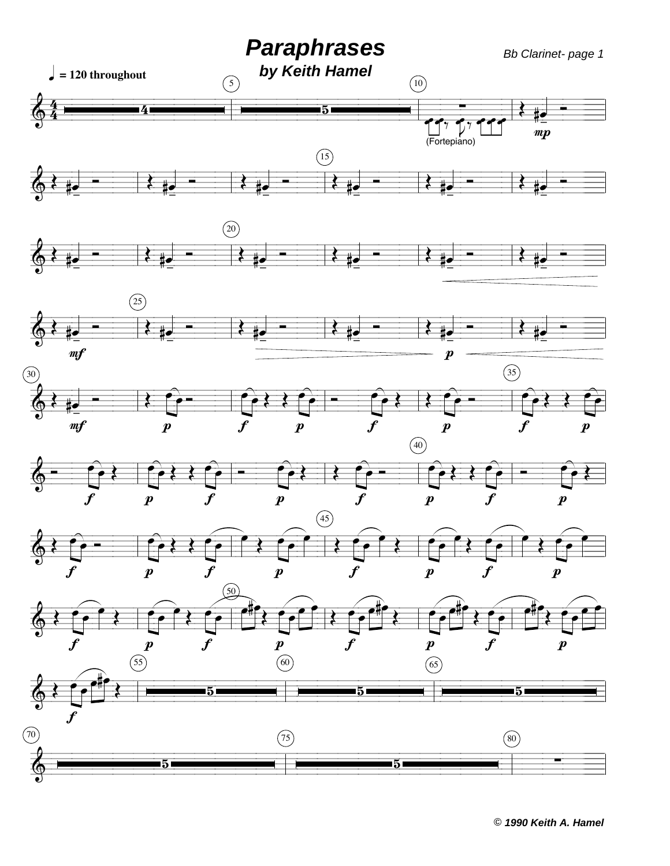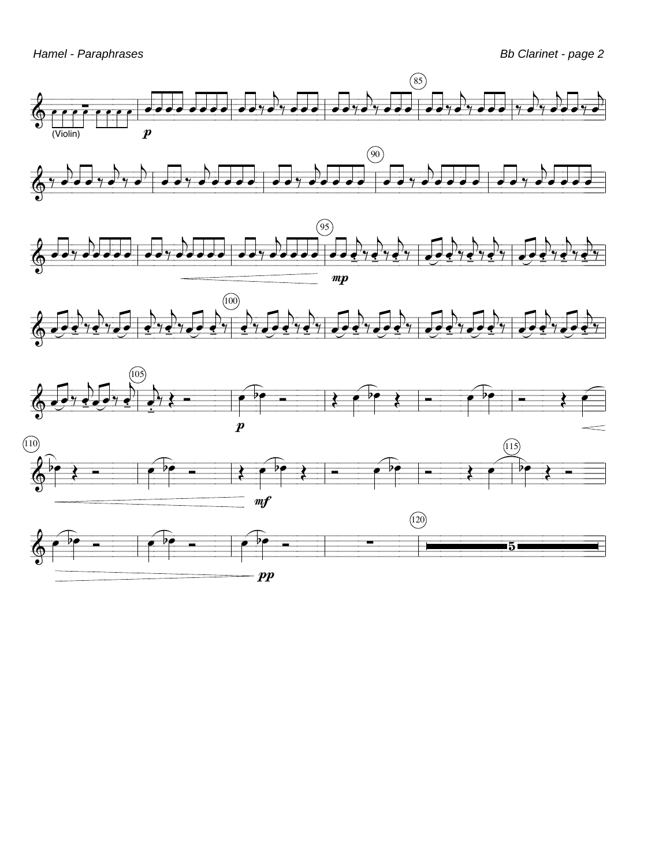

 $\boldsymbol{pp}$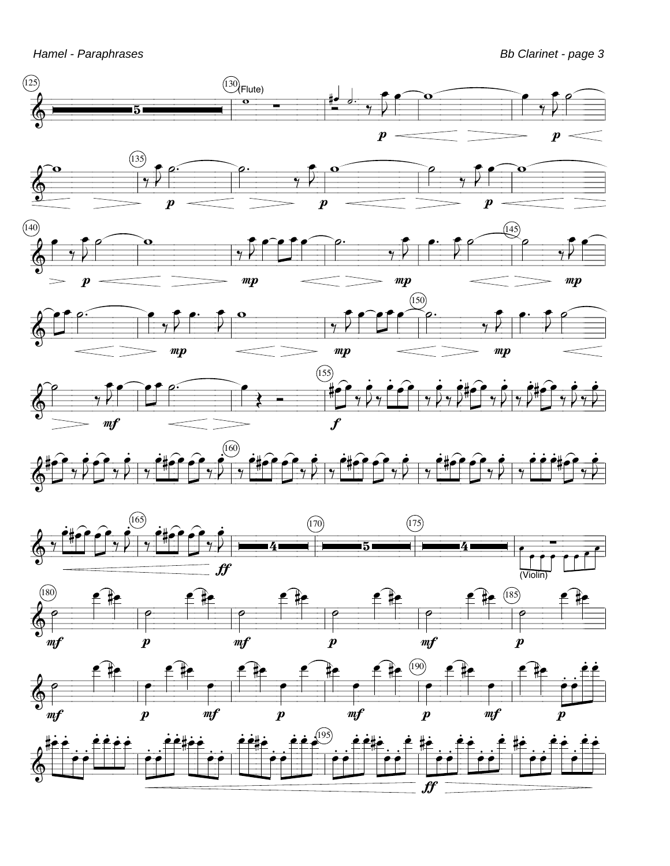Hamel - Paraphrases